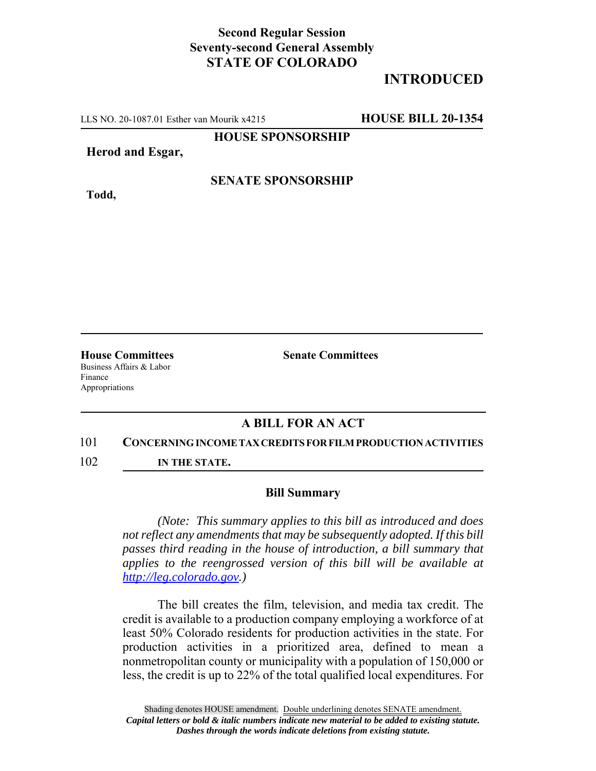## **Second Regular Session Seventy-second General Assembly STATE OF COLORADO**

# **INTRODUCED**

LLS NO. 20-1087.01 Esther van Mourik x4215 **HOUSE BILL 20-1354**

**HOUSE SPONSORSHIP**

### **Herod and Esgar,**

## **SENATE SPONSORSHIP**

**Todd,**

Business Affairs & Labor Finance Appropriations

**House Committees Senate Committees** 

## **A BILL FOR AN ACT**

#### 101 **CONCERNING INCOME TAX CREDITS FOR FILM PRODUCTION ACTIVITIES**

102 **IN THE STATE.**

#### **Bill Summary**

*(Note: This summary applies to this bill as introduced and does not reflect any amendments that may be subsequently adopted. If this bill passes third reading in the house of introduction, a bill summary that applies to the reengrossed version of this bill will be available at http://leg.colorado.gov.)*

The bill creates the film, television, and media tax credit. The credit is available to a production company employing a workforce of at least 50% Colorado residents for production activities in the state. For production activities in a prioritized area, defined to mean a nonmetropolitan county or municipality with a population of 150,000 or less, the credit is up to 22% of the total qualified local expenditures. For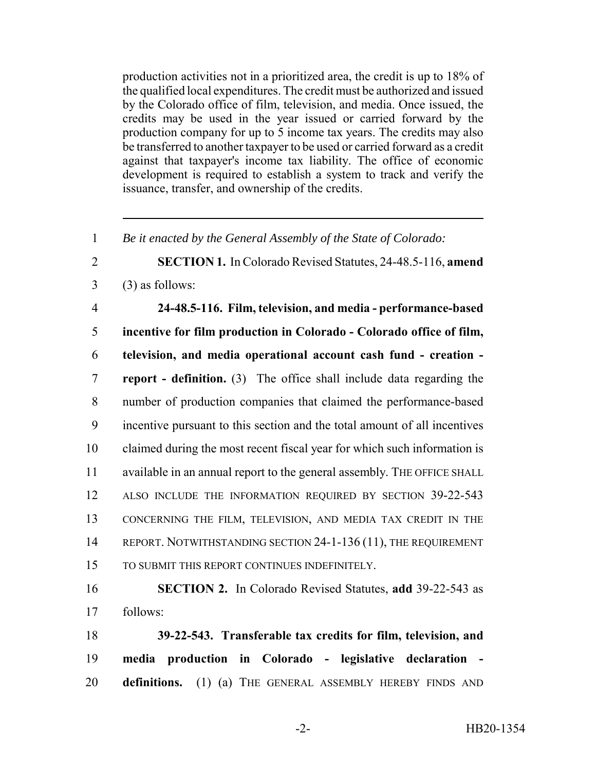production activities not in a prioritized area, the credit is up to 18% of the qualified local expenditures. The credit must be authorized and issued by the Colorado office of film, television, and media. Once issued, the credits may be used in the year issued or carried forward by the production company for up to 5 income tax years. The credits may also be transferred to another taxpayer to be used or carried forward as a credit against that taxpayer's income tax liability. The office of economic development is required to establish a system to track and verify the issuance, transfer, and ownership of the credits.

1 *Be it enacted by the General Assembly of the State of Colorado:*

2 **SECTION 1.** In Colorado Revised Statutes, 24-48.5-116, **amend**  $3 \qquad (3)$  as follows:

 **24-48.5-116. Film, television, and media - performance-based incentive for film production in Colorado - Colorado office of film, television, and media operational account cash fund - creation - report - definition.** (3) The office shall include data regarding the number of production companies that claimed the performance-based incentive pursuant to this section and the total amount of all incentives claimed during the most recent fiscal year for which such information is available in an annual report to the general assembly. THE OFFICE SHALL 12 ALSO INCLUDE THE INFORMATION REQUIRED BY SECTION 39-22-543 CONCERNING THE FILM, TELEVISION, AND MEDIA TAX CREDIT IN THE 14 REPORT. NOTWITHSTANDING SECTION 24-1-136 (11), THE REQUIREMENT TO SUBMIT THIS REPORT CONTINUES INDEFINITELY.

16 **SECTION 2.** In Colorado Revised Statutes, **add** 39-22-543 as 17 follows:

18 **39-22-543. Transferable tax credits for film, television, and** 19 **media production in Colorado - legislative declaration -** 20 **definitions.** (1) (a) THE GENERAL ASSEMBLY HEREBY FINDS AND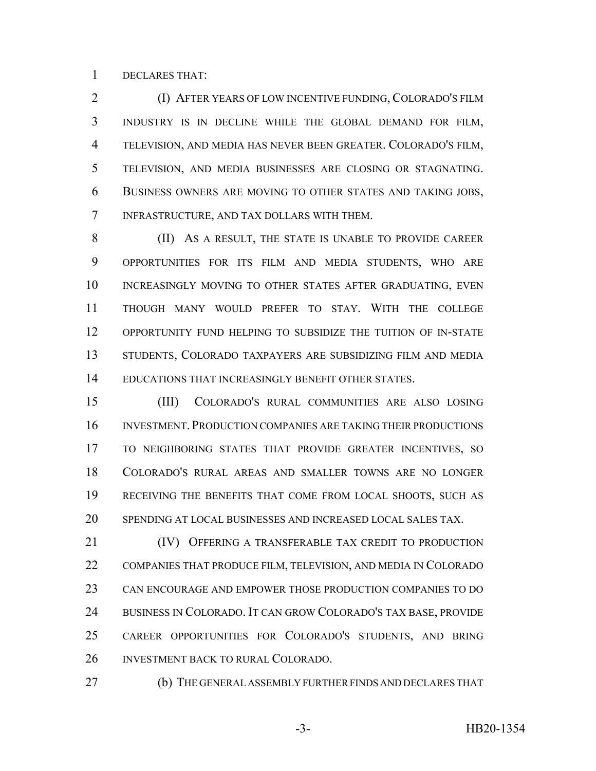DECLARES THAT:

 (I) AFTER YEARS OF LOW INCENTIVE FUNDING, COLORADO'S FILM INDUSTRY IS IN DECLINE WHILE THE GLOBAL DEMAND FOR FILM, TELEVISION, AND MEDIA HAS NEVER BEEN GREATER. COLORADO'S FILM, TELEVISION, AND MEDIA BUSINESSES ARE CLOSING OR STAGNATING. BUSINESS OWNERS ARE MOVING TO OTHER STATES AND TAKING JOBS, INFRASTRUCTURE, AND TAX DOLLARS WITH THEM.

 (II) AS A RESULT, THE STATE IS UNABLE TO PROVIDE CAREER OPPORTUNITIES FOR ITS FILM AND MEDIA STUDENTS, WHO ARE 10 INCREASINGLY MOVING TO OTHER STATES AFTER GRADUATING, EVEN THOUGH MANY WOULD PREFER TO STAY. WITH THE COLLEGE OPPORTUNITY FUND HELPING TO SUBSIDIZE THE TUITION OF IN-STATE STUDENTS, COLORADO TAXPAYERS ARE SUBSIDIZING FILM AND MEDIA EDUCATIONS THAT INCREASINGLY BENEFIT OTHER STATES.

 (III) COLORADO'S RURAL COMMUNITIES ARE ALSO LOSING 16 INVESTMENT. PRODUCTION COMPANIES ARE TAKING THEIR PRODUCTIONS TO NEIGHBORING STATES THAT PROVIDE GREATER INCENTIVES, SO COLORADO'S RURAL AREAS AND SMALLER TOWNS ARE NO LONGER RECEIVING THE BENEFITS THAT COME FROM LOCAL SHOOTS, SUCH AS SPENDING AT LOCAL BUSINESSES AND INCREASED LOCAL SALES TAX.

 (IV) OFFERING A TRANSFERABLE TAX CREDIT TO PRODUCTION COMPANIES THAT PRODUCE FILM, TELEVISION, AND MEDIA IN COLORADO CAN ENCOURAGE AND EMPOWER THOSE PRODUCTION COMPANIES TO DO BUSINESS IN COLORADO. IT CAN GROW COLORADO'S TAX BASE, PROVIDE CAREER OPPORTUNITIES FOR COLORADO'S STUDENTS, AND BRING INVESTMENT BACK TO RURAL COLORADO.

(b) THE GENERAL ASSEMBLY FURTHER FINDS AND DECLARES THAT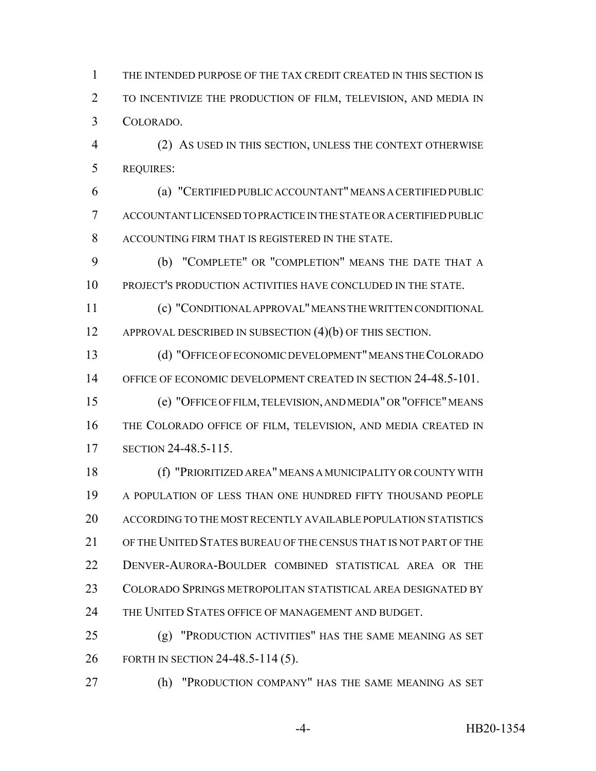THE INTENDED PURPOSE OF THE TAX CREDIT CREATED IN THIS SECTION IS TO INCENTIVIZE THE PRODUCTION OF FILM, TELEVISION, AND MEDIA IN COLORADO.

 (2) AS USED IN THIS SECTION, UNLESS THE CONTEXT OTHERWISE REQUIRES:

 (a) "CERTIFIED PUBLIC ACCOUNTANT" MEANS A CERTIFIED PUBLIC ACCOUNTANT LICENSED TO PRACTICE IN THE STATE OR A CERTIFIED PUBLIC ACCOUNTING FIRM THAT IS REGISTERED IN THE STATE.

 (b) "COMPLETE" OR "COMPLETION" MEANS THE DATE THAT A PROJECT'S PRODUCTION ACTIVITIES HAVE CONCLUDED IN THE STATE.

 (c) "CONDITIONAL APPROVAL" MEANS THE WRITTEN CONDITIONAL 12 APPROVAL DESCRIBED IN SUBSECTION (4)(b) OF THIS SECTION.

 (d) "OFFICE OF ECONOMIC DEVELOPMENT" MEANS THE COLORADO OFFICE OF ECONOMIC DEVELOPMENT CREATED IN SECTION 24-48.5-101.

 (e) "OFFICE OF FILM, TELEVISION, AND MEDIA" OR "OFFICE" MEANS THE COLORADO OFFICE OF FILM, TELEVISION, AND MEDIA CREATED IN SECTION 24-48.5-115.

 (f) "PRIORITIZED AREA" MEANS A MUNICIPALITY OR COUNTY WITH A POPULATION OF LESS THAN ONE HUNDRED FIFTY THOUSAND PEOPLE ACCORDING TO THE MOST RECENTLY AVAILABLE POPULATION STATISTICS OF THE UNITED STATES BUREAU OF THE CENSUS THAT IS NOT PART OF THE DENVER-AURORA-BOULDER COMBINED STATISTICAL AREA OR THE COLORADO SPRINGS METROPOLITAN STATISTICAL AREA DESIGNATED BY THE UNITED STATES OFFICE OF MANAGEMENT AND BUDGET.

 (g) "PRODUCTION ACTIVITIES" HAS THE SAME MEANING AS SET FORTH IN SECTION 24-48.5-114 (5).

(h) "PRODUCTION COMPANY" HAS THE SAME MEANING AS SET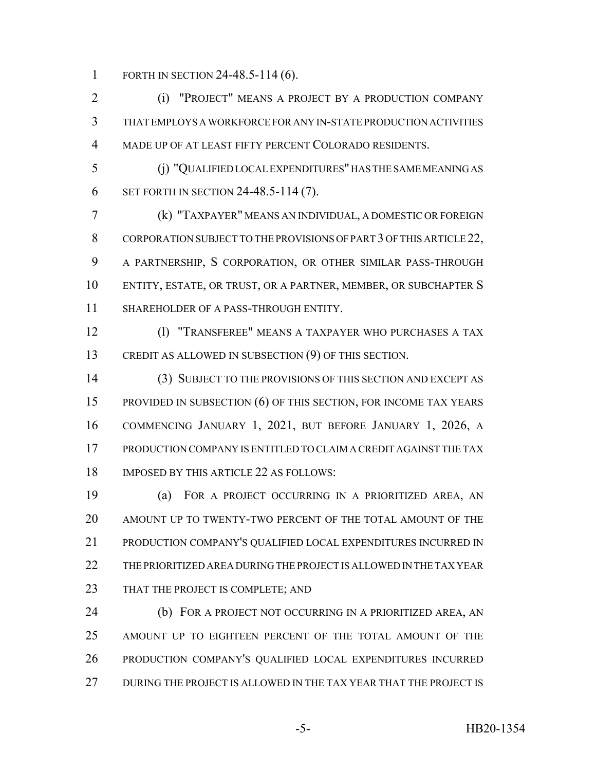1 FORTH IN SECTION 24-48.5-114 (6).

 (i) "PROJECT" MEANS A PROJECT BY A PRODUCTION COMPANY THAT EMPLOYS A WORKFORCE FOR ANY IN-STATE PRODUCTION ACTIVITIES MADE UP OF AT LEAST FIFTY PERCENT COLORADO RESIDENTS.

 (j) "QUALIFIED LOCAL EXPENDITURES" HAS THE SAME MEANING AS SET FORTH IN SECTION 24-48.5-114 (7).

 (k) "TAXPAYER" MEANS AN INDIVIDUAL, A DOMESTIC OR FOREIGN 8 CORPORATION SUBJECT TO THE PROVISIONS OF PART 3 OF THIS ARTICLE 22, A PARTNERSHIP, S CORPORATION, OR OTHER SIMILAR PASS-THROUGH ENTITY, ESTATE, OR TRUST, OR A PARTNER, MEMBER, OR SUBCHAPTER S SHAREHOLDER OF A PASS-THROUGH ENTITY.

 (l) "TRANSFEREE" MEANS A TAXPAYER WHO PURCHASES A TAX CREDIT AS ALLOWED IN SUBSECTION (9) OF THIS SECTION.

 (3) SUBJECT TO THE PROVISIONS OF THIS SECTION AND EXCEPT AS PROVIDED IN SUBSECTION (6) OF THIS SECTION, FOR INCOME TAX YEARS COMMENCING JANUARY 1, 2021, BUT BEFORE JANUARY 1, 2026, A PRODUCTION COMPANY IS ENTITLED TO CLAIM A CREDIT AGAINST THE TAX IMPOSED BY THIS ARTICLE 22 AS FOLLOWS:

 (a) FOR A PROJECT OCCURRING IN A PRIORITIZED AREA, AN AMOUNT UP TO TWENTY-TWO PERCENT OF THE TOTAL AMOUNT OF THE PRODUCTION COMPANY'S QUALIFIED LOCAL EXPENDITURES INCURRED IN THE PRIORITIZED AREA DURING THE PROJECT IS ALLOWED IN THE TAX YEAR 23 THAT THE PROJECT IS COMPLETE; AND

**(b)** FOR A PROJECT NOT OCCURRING IN A PRIORITIZED AREA, AN AMOUNT UP TO EIGHTEEN PERCENT OF THE TOTAL AMOUNT OF THE PRODUCTION COMPANY'S QUALIFIED LOCAL EXPENDITURES INCURRED DURING THE PROJECT IS ALLOWED IN THE TAX YEAR THAT THE PROJECT IS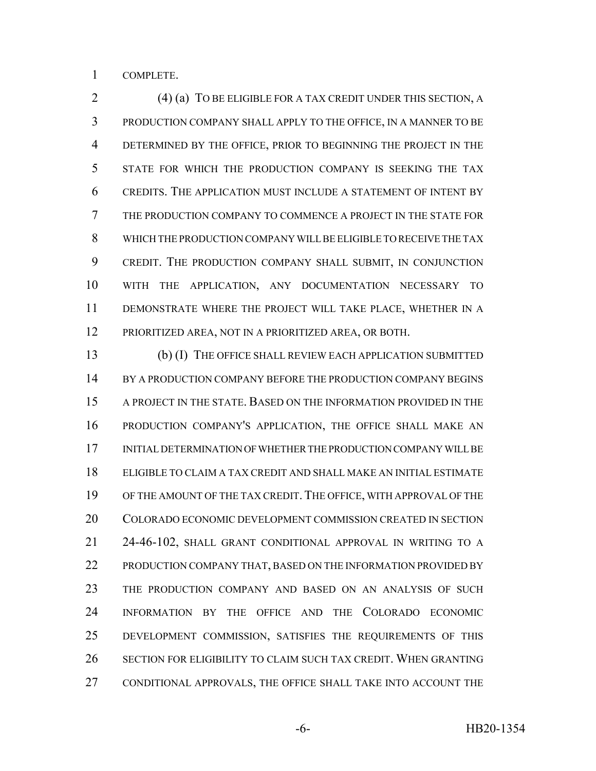COMPLETE.

 (4) (a) TO BE ELIGIBLE FOR A TAX CREDIT UNDER THIS SECTION, A PRODUCTION COMPANY SHALL APPLY TO THE OFFICE, IN A MANNER TO BE DETERMINED BY THE OFFICE, PRIOR TO BEGINNING THE PROJECT IN THE STATE FOR WHICH THE PRODUCTION COMPANY IS SEEKING THE TAX CREDITS. THE APPLICATION MUST INCLUDE A STATEMENT OF INTENT BY THE PRODUCTION COMPANY TO COMMENCE A PROJECT IN THE STATE FOR WHICH THE PRODUCTION COMPANY WILL BE ELIGIBLE TO RECEIVE THE TAX CREDIT. THE PRODUCTION COMPANY SHALL SUBMIT, IN CONJUNCTION WITH THE APPLICATION, ANY DOCUMENTATION NECESSARY TO DEMONSTRATE WHERE THE PROJECT WILL TAKE PLACE, WHETHER IN A PRIORITIZED AREA, NOT IN A PRIORITIZED AREA, OR BOTH.

 (b) (I) THE OFFICE SHALL REVIEW EACH APPLICATION SUBMITTED 14 BY A PRODUCTION COMPANY BEFORE THE PRODUCTION COMPANY BEGINS A PROJECT IN THE STATE. BASED ON THE INFORMATION PROVIDED IN THE PRODUCTION COMPANY'S APPLICATION, THE OFFICE SHALL MAKE AN INITIAL DETERMINATION OF WHETHER THE PRODUCTION COMPANY WILL BE ELIGIBLE TO CLAIM A TAX CREDIT AND SHALL MAKE AN INITIAL ESTIMATE 19 OF THE AMOUNT OF THE TAX CREDIT. THE OFFICE, WITH APPROVAL OF THE COLORADO ECONOMIC DEVELOPMENT COMMISSION CREATED IN SECTION 24-46-102, SHALL GRANT CONDITIONAL APPROVAL IN WRITING TO A 22 PRODUCTION COMPANY THAT, BASED ON THE INFORMATION PROVIDED BY THE PRODUCTION COMPANY AND BASED ON AN ANALYSIS OF SUCH INFORMATION BY THE OFFICE AND THE COLORADO ECONOMIC DEVELOPMENT COMMISSION, SATISFIES THE REQUIREMENTS OF THIS SECTION FOR ELIGIBILITY TO CLAIM SUCH TAX CREDIT. WHEN GRANTING CONDITIONAL APPROVALS, THE OFFICE SHALL TAKE INTO ACCOUNT THE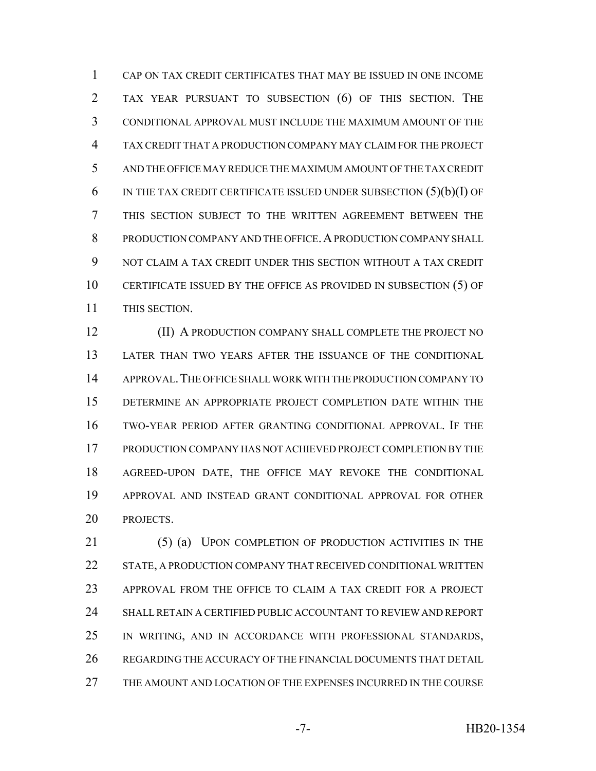CAP ON TAX CREDIT CERTIFICATES THAT MAY BE ISSUED IN ONE INCOME TAX YEAR PURSUANT TO SUBSECTION (6) OF THIS SECTION. THE CONDITIONAL APPROVAL MUST INCLUDE THE MAXIMUM AMOUNT OF THE TAX CREDIT THAT A PRODUCTION COMPANY MAY CLAIM FOR THE PROJECT AND THE OFFICE MAY REDUCE THE MAXIMUM AMOUNT OF THE TAX CREDIT 6 IN THE TAX CREDIT CERTIFICATE ISSUED UNDER SUBSECTION  $(5)(b)(I)$  OF THIS SECTION SUBJECT TO THE WRITTEN AGREEMENT BETWEEN THE 8 PRODUCTION COMPANY AND THE OFFICE. A PRODUCTION COMPANY SHALL NOT CLAIM A TAX CREDIT UNDER THIS SECTION WITHOUT A TAX CREDIT CERTIFICATE ISSUED BY THE OFFICE AS PROVIDED IN SUBSECTION (5) OF THIS SECTION.

**(II) A PRODUCTION COMPANY SHALL COMPLETE THE PROJECT NO**  LATER THAN TWO YEARS AFTER THE ISSUANCE OF THE CONDITIONAL APPROVAL.THE OFFICE SHALL WORK WITH THE PRODUCTION COMPANY TO DETERMINE AN APPROPRIATE PROJECT COMPLETION DATE WITHIN THE TWO-YEAR PERIOD AFTER GRANTING CONDITIONAL APPROVAL. IF THE PRODUCTION COMPANY HAS NOT ACHIEVED PROJECT COMPLETION BY THE AGREED-UPON DATE, THE OFFICE MAY REVOKE THE CONDITIONAL APPROVAL AND INSTEAD GRANT CONDITIONAL APPROVAL FOR OTHER PROJECTS.

 (5) (a) UPON COMPLETION OF PRODUCTION ACTIVITIES IN THE STATE, A PRODUCTION COMPANY THAT RECEIVED CONDITIONAL WRITTEN APPROVAL FROM THE OFFICE TO CLAIM A TAX CREDIT FOR A PROJECT SHALL RETAIN A CERTIFIED PUBLIC ACCOUNTANT TO REVIEW AND REPORT IN WRITING, AND IN ACCORDANCE WITH PROFESSIONAL STANDARDS, REGARDING THE ACCURACY OF THE FINANCIAL DOCUMENTS THAT DETAIL THE AMOUNT AND LOCATION OF THE EXPENSES INCURRED IN THE COURSE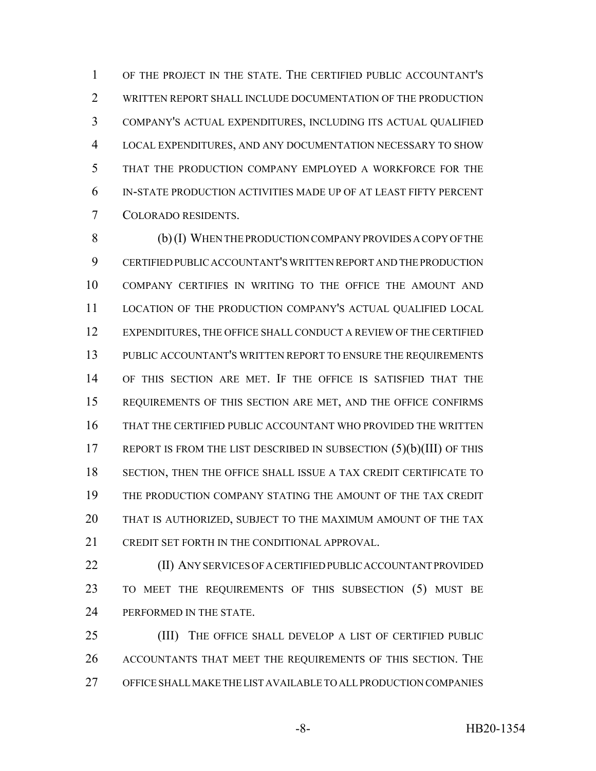OF THE PROJECT IN THE STATE. THE CERTIFIED PUBLIC ACCOUNTANT'S WRITTEN REPORT SHALL INCLUDE DOCUMENTATION OF THE PRODUCTION COMPANY'S ACTUAL EXPENDITURES, INCLUDING ITS ACTUAL QUALIFIED LOCAL EXPENDITURES, AND ANY DOCUMENTATION NECESSARY TO SHOW THAT THE PRODUCTION COMPANY EMPLOYED A WORKFORCE FOR THE IN-STATE PRODUCTION ACTIVITIES MADE UP OF AT LEAST FIFTY PERCENT COLORADO RESIDENTS.

 (b) (I) WHEN THE PRODUCTION COMPANY PROVIDES A COPY OF THE CERTIFIED PUBLIC ACCOUNTANT'S WRITTEN REPORT AND THE PRODUCTION COMPANY CERTIFIES IN WRITING TO THE OFFICE THE AMOUNT AND LOCATION OF THE PRODUCTION COMPANY'S ACTUAL QUALIFIED LOCAL EXPENDITURES, THE OFFICE SHALL CONDUCT A REVIEW OF THE CERTIFIED PUBLIC ACCOUNTANT'S WRITTEN REPORT TO ENSURE THE REQUIREMENTS OF THIS SECTION ARE MET. IF THE OFFICE IS SATISFIED THAT THE REQUIREMENTS OF THIS SECTION ARE MET, AND THE OFFICE CONFIRMS THAT THE CERTIFIED PUBLIC ACCOUNTANT WHO PROVIDED THE WRITTEN 17 REPORT IS FROM THE LIST DESCRIBED IN SUBSECTION (5)(b)(III) OF THIS SECTION, THEN THE OFFICE SHALL ISSUE A TAX CREDIT CERTIFICATE TO THE PRODUCTION COMPANY STATING THE AMOUNT OF THE TAX CREDIT THAT IS AUTHORIZED, SUBJECT TO THE MAXIMUM AMOUNT OF THE TAX CREDIT SET FORTH IN THE CONDITIONAL APPROVAL.

 (II) ANY SERVICES OF A CERTIFIED PUBLIC ACCOUNTANT PROVIDED TO MEET THE REQUIREMENTS OF THIS SUBSECTION (5) MUST BE 24 PERFORMED IN THE STATE.

 (III) THE OFFICE SHALL DEVELOP A LIST OF CERTIFIED PUBLIC ACCOUNTANTS THAT MEET THE REQUIREMENTS OF THIS SECTION. THE OFFICE SHALL MAKE THE LIST AVAILABLE TO ALL PRODUCTION COMPANIES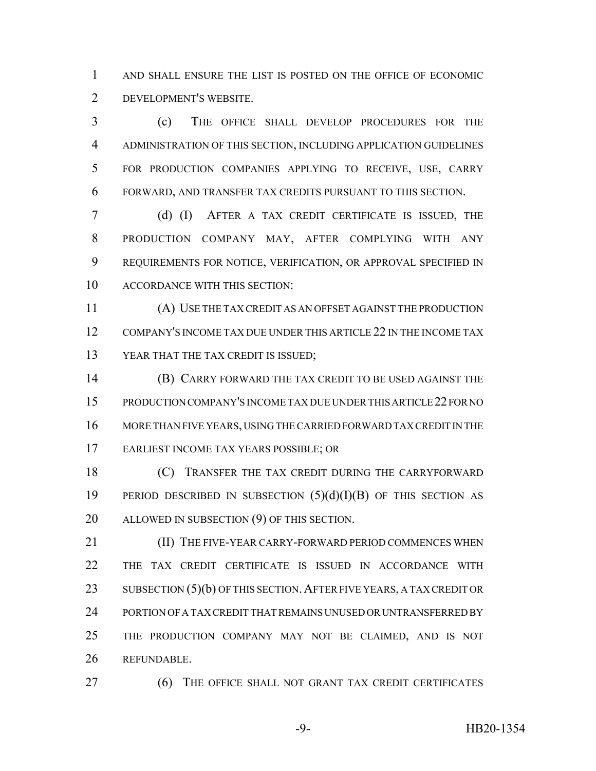AND SHALL ENSURE THE LIST IS POSTED ON THE OFFICE OF ECONOMIC DEVELOPMENT'S WEBSITE.

 (c) THE OFFICE SHALL DEVELOP PROCEDURES FOR THE ADMINISTRATION OF THIS SECTION, INCLUDING APPLICATION GUIDELINES FOR PRODUCTION COMPANIES APPLYING TO RECEIVE, USE, CARRY FORWARD, AND TRANSFER TAX CREDITS PURSUANT TO THIS SECTION.

 (d) (I) AFTER A TAX CREDIT CERTIFICATE IS ISSUED, THE PRODUCTION COMPANY MAY, AFTER COMPLYING WITH ANY REQUIREMENTS FOR NOTICE, VERIFICATION, OR APPROVAL SPECIFIED IN ACCORDANCE WITH THIS SECTION:

 (A) USE THE TAX CREDIT AS AN OFFSET AGAINST THE PRODUCTION COMPANY'S INCOME TAX DUE UNDER THIS ARTICLE 22 IN THE INCOME TAX YEAR THAT THE TAX CREDIT IS ISSUED;

 (B) CARRY FORWARD THE TAX CREDIT TO BE USED AGAINST THE PRODUCTION COMPANY'S INCOME TAX DUE UNDER THIS ARTICLE 22 FOR NO MORE THAN FIVE YEARS, USING THE CARRIED FORWARD TAX CREDIT IN THE EARLIEST INCOME TAX YEARS POSSIBLE; OR

**(C)** TRANSFER THE TAX CREDIT DURING THE CARRYFORWARD PERIOD DESCRIBED IN SUBSECTION (5)(d)(I)(B) OF THIS SECTION AS ALLOWED IN SUBSECTION (9) OF THIS SECTION.

**(II) THE FIVE-YEAR CARRY-FORWARD PERIOD COMMENCES WHEN**  THE TAX CREDIT CERTIFICATE IS ISSUED IN ACCORDANCE WITH 23 SUBSECTION (5)(b) OF THIS SECTION. AFTER FIVE YEARS, A TAX CREDIT OR PORTION OF A TAX CREDIT THAT REMAINS UNUSED OR UNTRANSFERRED BY THE PRODUCTION COMPANY MAY NOT BE CLAIMED, AND IS NOT REFUNDABLE.

(6) THE OFFICE SHALL NOT GRANT TAX CREDIT CERTIFICATES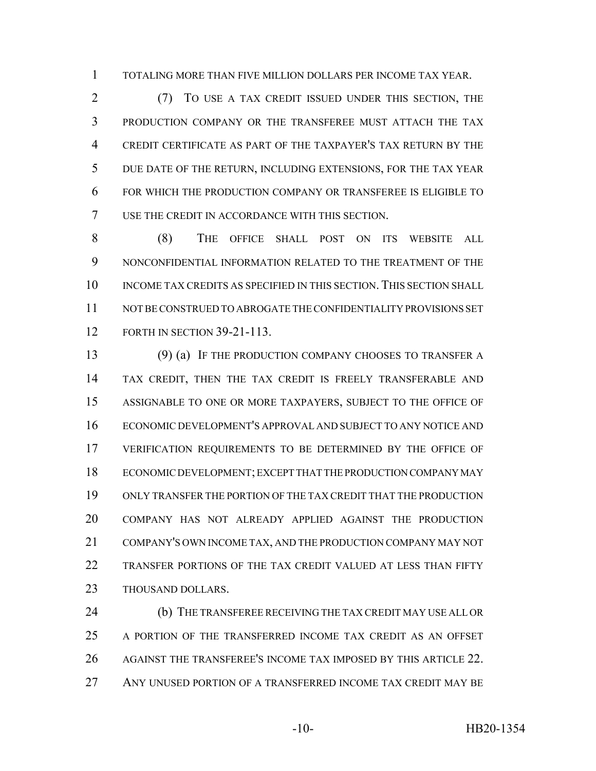TOTALING MORE THAN FIVE MILLION DOLLARS PER INCOME TAX YEAR.

 (7) TO USE A TAX CREDIT ISSUED UNDER THIS SECTION, THE PRODUCTION COMPANY OR THE TRANSFEREE MUST ATTACH THE TAX CREDIT CERTIFICATE AS PART OF THE TAXPAYER'S TAX RETURN BY THE DUE DATE OF THE RETURN, INCLUDING EXTENSIONS, FOR THE TAX YEAR FOR WHICH THE PRODUCTION COMPANY OR TRANSFEREE IS ELIGIBLE TO USE THE CREDIT IN ACCORDANCE WITH THIS SECTION.

 (8) THE OFFICE SHALL POST ON ITS WEBSITE ALL NONCONFIDENTIAL INFORMATION RELATED TO THE TREATMENT OF THE INCOME TAX CREDITS AS SPECIFIED IN THIS SECTION. THIS SECTION SHALL NOT BE CONSTRUED TO ABROGATE THE CONFIDENTIALITY PROVISIONS SET FORTH IN SECTION 39-21-113.

 (9) (a) IF THE PRODUCTION COMPANY CHOOSES TO TRANSFER A TAX CREDIT, THEN THE TAX CREDIT IS FREELY TRANSFERABLE AND ASSIGNABLE TO ONE OR MORE TAXPAYERS, SUBJECT TO THE OFFICE OF ECONOMIC DEVELOPMENT'S APPROVAL AND SUBJECT TO ANY NOTICE AND VERIFICATION REQUIREMENTS TO BE DETERMINED BY THE OFFICE OF ECONOMIC DEVELOPMENT; EXCEPT THAT THE PRODUCTION COMPANY MAY ONLY TRANSFER THE PORTION OF THE TAX CREDIT THAT THE PRODUCTION COMPANY HAS NOT ALREADY APPLIED AGAINST THE PRODUCTION COMPANY'S OWN INCOME TAX, AND THE PRODUCTION COMPANY MAY NOT TRANSFER PORTIONS OF THE TAX CREDIT VALUED AT LESS THAN FIFTY THOUSAND DOLLARS.

 (b) THE TRANSFEREE RECEIVING THE TAX CREDIT MAY USE ALL OR A PORTION OF THE TRANSFERRED INCOME TAX CREDIT AS AN OFFSET AGAINST THE TRANSFEREE'S INCOME TAX IMPOSED BY THIS ARTICLE 22. ANY UNUSED PORTION OF A TRANSFERRED INCOME TAX CREDIT MAY BE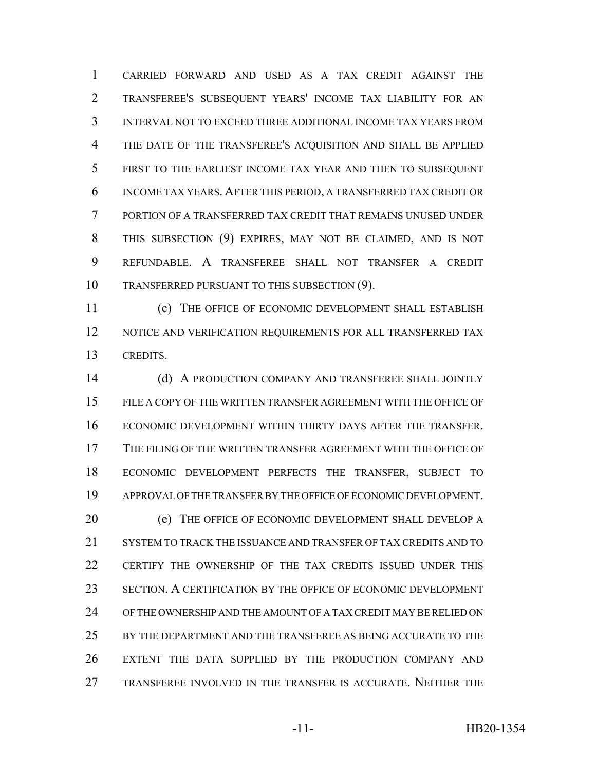CARRIED FORWARD AND USED AS A TAX CREDIT AGAINST THE TRANSFEREE'S SUBSEQUENT YEARS' INCOME TAX LIABILITY FOR AN INTERVAL NOT TO EXCEED THREE ADDITIONAL INCOME TAX YEARS FROM THE DATE OF THE TRANSFEREE'S ACQUISITION AND SHALL BE APPLIED FIRST TO THE EARLIEST INCOME TAX YEAR AND THEN TO SUBSEQUENT INCOME TAX YEARS. AFTER THIS PERIOD, A TRANSFERRED TAX CREDIT OR PORTION OF A TRANSFERRED TAX CREDIT THAT REMAINS UNUSED UNDER THIS SUBSECTION (9) EXPIRES, MAY NOT BE CLAIMED, AND IS NOT REFUNDABLE. A TRANSFEREE SHALL NOT TRANSFER A CREDIT TRANSFERRED PURSUANT TO THIS SUBSECTION (9).

 (c) THE OFFICE OF ECONOMIC DEVELOPMENT SHALL ESTABLISH 12 NOTICE AND VERIFICATION REQUIREMENTS FOR ALL TRANSFERRED TAX CREDITS.

 (d) A PRODUCTION COMPANY AND TRANSFEREE SHALL JOINTLY FILE A COPY OF THE WRITTEN TRANSFER AGREEMENT WITH THE OFFICE OF ECONOMIC DEVELOPMENT WITHIN THIRTY DAYS AFTER THE TRANSFER. THE FILING OF THE WRITTEN TRANSFER AGREEMENT WITH THE OFFICE OF ECONOMIC DEVELOPMENT PERFECTS THE TRANSFER, SUBJECT TO APPROVAL OF THE TRANSFER BY THE OFFICE OF ECONOMIC DEVELOPMENT. (e) THE OFFICE OF ECONOMIC DEVELOPMENT SHALL DEVELOP A SYSTEM TO TRACK THE ISSUANCE AND TRANSFER OF TAX CREDITS AND TO CERTIFY THE OWNERSHIP OF THE TAX CREDITS ISSUED UNDER THIS SECTION. A CERTIFICATION BY THE OFFICE OF ECONOMIC DEVELOPMENT OF THE OWNERSHIP AND THE AMOUNT OF A TAX CREDIT MAY BE RELIED ON BY THE DEPARTMENT AND THE TRANSFEREE AS BEING ACCURATE TO THE EXTENT THE DATA SUPPLIED BY THE PRODUCTION COMPANY AND TRANSFEREE INVOLVED IN THE TRANSFER IS ACCURATE. NEITHER THE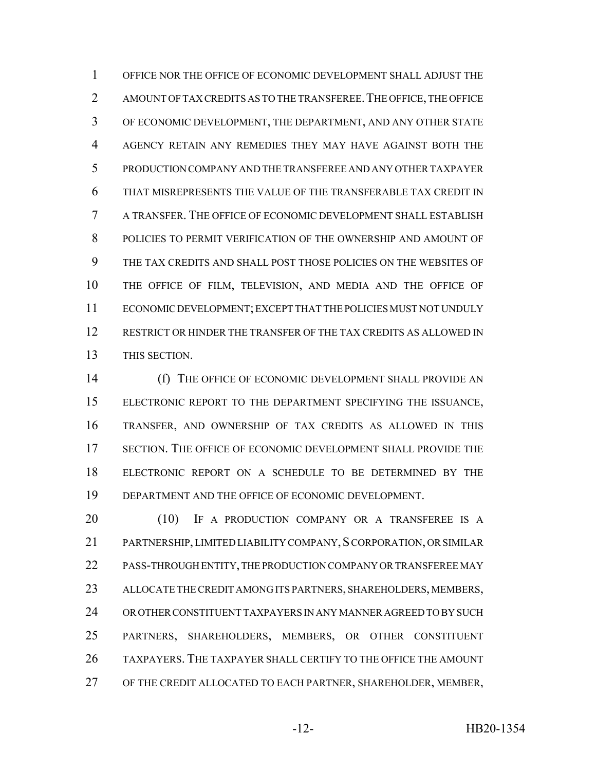OFFICE NOR THE OFFICE OF ECONOMIC DEVELOPMENT SHALL ADJUST THE 2 AMOUNT OF TAX CREDITS AS TO THE TRANSFEREE. THE OFFICE, THE OFFICE OF ECONOMIC DEVELOPMENT, THE DEPARTMENT, AND ANY OTHER STATE AGENCY RETAIN ANY REMEDIES THEY MAY HAVE AGAINST BOTH THE PRODUCTION COMPANY AND THE TRANSFEREE AND ANY OTHER TAXPAYER THAT MISREPRESENTS THE VALUE OF THE TRANSFERABLE TAX CREDIT IN A TRANSFER. THE OFFICE OF ECONOMIC DEVELOPMENT SHALL ESTABLISH POLICIES TO PERMIT VERIFICATION OF THE OWNERSHIP AND AMOUNT OF THE TAX CREDITS AND SHALL POST THOSE POLICIES ON THE WEBSITES OF THE OFFICE OF FILM, TELEVISION, AND MEDIA AND THE OFFICE OF ECONOMIC DEVELOPMENT; EXCEPT THAT THE POLICIES MUST NOT UNDULY RESTRICT OR HINDER THE TRANSFER OF THE TAX CREDITS AS ALLOWED IN THIS SECTION.

 (f) THE OFFICE OF ECONOMIC DEVELOPMENT SHALL PROVIDE AN ELECTRONIC REPORT TO THE DEPARTMENT SPECIFYING THE ISSUANCE, TRANSFER, AND OWNERSHIP OF TAX CREDITS AS ALLOWED IN THIS SECTION. THE OFFICE OF ECONOMIC DEVELOPMENT SHALL PROVIDE THE ELECTRONIC REPORT ON A SCHEDULE TO BE DETERMINED BY THE DEPARTMENT AND THE OFFICE OF ECONOMIC DEVELOPMENT.

20 (10) IF A PRODUCTION COMPANY OR A TRANSFEREE IS A 21 PARTNERSHIP, LIMITED LIABILITY COMPANY, SCORPORATION, OR SIMILAR PASS-THROUGH ENTITY, THE PRODUCTION COMPANY OR TRANSFEREE MAY ALLOCATE THE CREDIT AMONG ITS PARTNERS, SHAREHOLDERS, MEMBERS, OR OTHER CONSTITUENT TAXPAYERS IN ANY MANNER AGREED TO BY SUCH PARTNERS, SHAREHOLDERS, MEMBERS, OR OTHER CONSTITUENT TAXPAYERS. THE TAXPAYER SHALL CERTIFY TO THE OFFICE THE AMOUNT OF THE CREDIT ALLOCATED TO EACH PARTNER, SHAREHOLDER, MEMBER,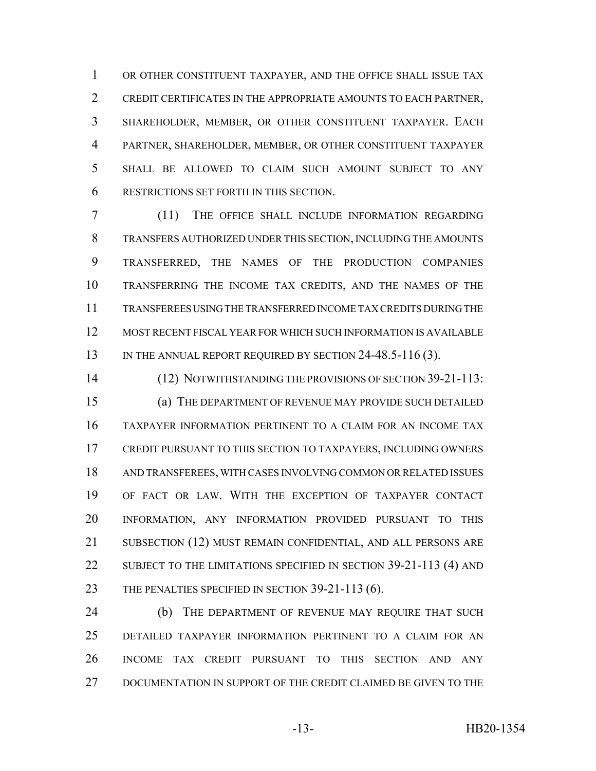OR OTHER CONSTITUENT TAXPAYER, AND THE OFFICE SHALL ISSUE TAX CREDIT CERTIFICATES IN THE APPROPRIATE AMOUNTS TO EACH PARTNER, SHAREHOLDER, MEMBER, OR OTHER CONSTITUENT TAXPAYER. EACH PARTNER, SHAREHOLDER, MEMBER, OR OTHER CONSTITUENT TAXPAYER SHALL BE ALLOWED TO CLAIM SUCH AMOUNT SUBJECT TO ANY RESTRICTIONS SET FORTH IN THIS SECTION.

 (11) THE OFFICE SHALL INCLUDE INFORMATION REGARDING TRANSFERS AUTHORIZED UNDER THIS SECTION, INCLUDING THE AMOUNTS TRANSFERRED, THE NAMES OF THE PRODUCTION COMPANIES TRANSFERRING THE INCOME TAX CREDITS, AND THE NAMES OF THE TRANSFEREES USING THE TRANSFERRED INCOME TAX CREDITS DURING THE MOST RECENT FISCAL YEAR FOR WHICH SUCH INFORMATION IS AVAILABLE 13 IN THE ANNUAL REPORT REQUIRED BY SECTION 24-48.5-116 (3).

 (12) NOTWITHSTANDING THE PROVISIONS OF SECTION 39-21-113: (a) THE DEPARTMENT OF REVENUE MAY PROVIDE SUCH DETAILED TAXPAYER INFORMATION PERTINENT TO A CLAIM FOR AN INCOME TAX CREDIT PURSUANT TO THIS SECTION TO TAXPAYERS, INCLUDING OWNERS AND TRANSFEREES, WITH CASES INVOLVING COMMON OR RELATED ISSUES OF FACT OR LAW. WITH THE EXCEPTION OF TAXPAYER CONTACT INFORMATION, ANY INFORMATION PROVIDED PURSUANT TO THIS SUBSECTION (12) MUST REMAIN CONFIDENTIAL, AND ALL PERSONS ARE 22 SUBJECT TO THE LIMITATIONS SPECIFIED IN SECTION 39-21-113 (4) AND 23 THE PENALTIES SPECIFIED IN SECTION 39-21-113 (6).

24 (b) THE DEPARTMENT OF REVENUE MAY REQUIRE THAT SUCH DETAILED TAXPAYER INFORMATION PERTINENT TO A CLAIM FOR AN INCOME TAX CREDIT PURSUANT TO THIS SECTION AND ANY DOCUMENTATION IN SUPPORT OF THE CREDIT CLAIMED BE GIVEN TO THE